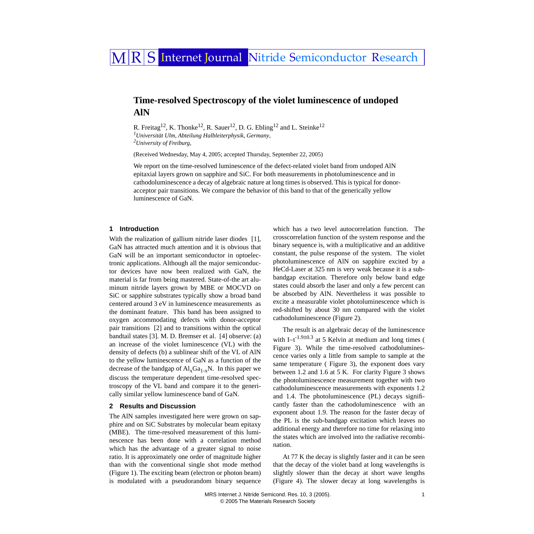# MRS Internet Journal Nitride Semiconductor Research

## **Time-resolved Spectroscopy of the violet luminescence of undoped AlN**

<span id="page-0-0"></span>R. Freitag<sup>[1](#page-0-0)[2](#page-0-1)</sup>, K. Thonke<sup>12</sup>, R. Sauer<sup>12</sup>, D. G. Ebling<sup>12</sup> and L. Steinke<sup>12</sup> *1 Universität Ulm, Abteilung Halbleiterphysik, Germany, 2 University of Freiburg,* 

<span id="page-0-1"></span>(Received Wednesday, May 4, 2005; accepted Thursday, September 22, 2005)

We report on the time-resolved luminescence of the defect-related violet band from undoped AlN epitaxial layers grown on sapphire and SiC. For both measurements in photoluminescence and in cathodoluminescence a decay of algebraic nature at long times is observed. This is typical for donoracceptor pair transitions. We compare the behavior of this band to that of the generically yellow luminescence of GaN.

#### **1 Introduction**

With the realization of gallium nitride laser diodes [\[1\]](#page-1-0), GaN has attracted much attention and it is obvious that GaN will be an important semiconductor in optoelectronic applications. Although all the major semiconductor devices have now been realized with GaN, the material is far from being mastered. State-of-the art aluminum nitride layers grown by MBE or MOCVD on SiC or sapphire substrates typically show a broad band centered around 3 eV in luminescence measurements as the dominant feature. This band has been assigned to oxygen accommodating defects with donor-acceptor pair transitions [\[2\]](#page-1-1) and to transitions within the optical bandtail states [\[3\]](#page-1-2). M. D. Bremser et al. [\[4\]](#page-1-3) observe: (a) an increase of the violet luminescence (VL) with the density of defects (b) a sublinear shift of the VL of AlN to the yellow luminescence of GaN as a function of the decrease of the bandgap of  $Al_xGa_{1-x}N$ . In this paper we discuss the temperature dependent time-resolved spectroscopy of the VL band and compare it to the generically similar yellow luminescence band of GaN.

#### **2 Results and Discussion**

The AlN samples investigated here were grown on sapphire and on SiC Substrates by molecular beam epitaxy (MBE). The time-resolved measurement of this luminescence has been done with a correlation method which has the advantage of a greater signal to noise ratio. It is approximately one order of magnitude higher than with the conventional single shot mode method (Figure [1\)](#page-1-4). The exciting beam (electron or photon beam) is modulated with a pseudorandom binary sequence which has a two level autocorrelation function. The crosscorrelation function of the system response and the binary sequence is, with a multiplicative and an additive constant, the pulse response of the system. The violet photoluminescence of AlN on sapphire excited by a HeCd-Laser at 325 nm is very weak because it is a subbandgap excitation. Therefore only below band edge states could absorb the laser and only a few percent can be absorbed by AlN. Nevertheless it was possible to excite a measurable violet photoluminescence which is red-shifted by about 30 nm compared with the violet cathodoluminescence (Figure [2\)](#page-1-4).

The result is an algebraic decay of the luminescence with I~t<sup>-1.9±0.3</sup> at 5 Kelvin at medium and long times ( Figure [3](#page-1-4)). While the time-resolved cathodoluminescence varies only a little from sample to sample at the same temperature ( Figure [3\)](#page-1-4), the exponent does vary between 1.2 and 1.6 at 5 K. For clarity Figure [3](#page-1-4) shows the photoluminescence measurement together with two cathodoluminescence measurements with exponents 1.2 and 1.4. The photoluminescence (PL) decays significantly faster than the cathodoluminescence with an exponent about 1.9. The reason for the faster decay of the PL is the sub-bandgap excitation which leaves no additional energy and therefore no time for relaxing into the states which are involved into the radiative recombination.

At 77 K the decay is slightly faster and it can be seen that the decay of the violet band at long wavelengths is slightly slower than the decay at short wave lengths (Figure [4](#page-1-4)). The slower decay at long wavelengths is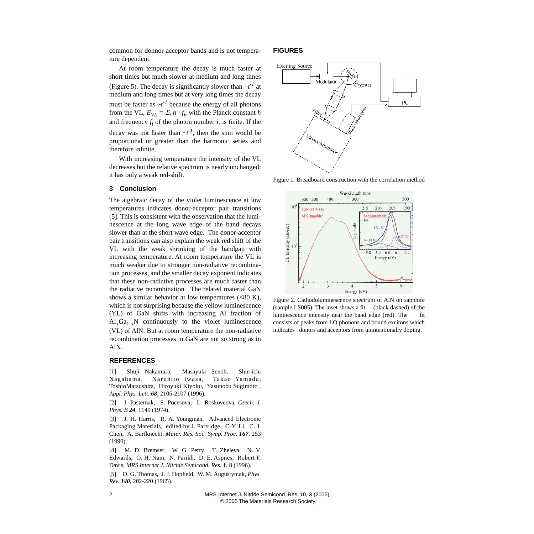common for donnor-acceptor bands and is not temperature dependent.

At room temperature the decay is much faster at short times but much slower at medium and long times (Figure [5](#page-1-4)). The decay is significantly slower than ∼*t -1* at medium and long times but at very long times the decay must be faster as  $\neg t^1$  because the energy of all photons from the VL,  $E_{VL} = \Sigma_i h \cdot f_i$ , with the Planck constant *h* and frequency  $f_i$  of the photon number  $i$ , is finite. If the decay was not faster than  $\neg t^1$ , then the sum would be proportional or greater than the harmonic series and therefore infinite.

With increasing temperature the intensity of the VL decreases but the relative spectrum is nearly unchanged; it has only a weak red-shift.

### **3 Conclusion**

The algebraic decay of the violet luminescence at low temperatures indicates donor-acceptor pair transitions [\[5\].](#page-1-5) This is consistent with the observation that the luminescence at the long wave edge of the band decays slower than at the short wave edge. The donor-acceptor pair transitions can also explain the weak red shift of the VL with the weak shrinking of the bandgap with increasing temperature. At room temperature the VL is much weaker due to stronger non-radiative recombination processes, and the smaller decay exponent indicates that these non-radiative processes are much faster than the radiative recombination. The related material GaN shows a similar behavior at low temperatures  $(<80 K)$ , which is not surprising because the yellow luminescence (YL) of GaN shifts with increasing Al fraction of  $\text{Al}_{x}\text{Ga}_{1-x}\text{N}$  continuously to the violet luminescence (VL) of AlN. But at room temperature the non-radiative recombination processes in GaN are not so strong as in AlN.

#### **REFERENCES**

<span id="page-1-0"></span>[1] Shuji Nakamura, Masayuki Senoh, Shin-ichi Nagahama, Naruhito Iwasa, Takao Yamada, ToshioMatsushita, Hiroyuki Kiyoku, Yasunobu Sugimoto , *Appl. Phys. Lett. 68*, 2105-2107 (1996).

<span id="page-1-1"></span>[2] J. Pasternak, S. Pocesova, L. Roskovcova, *Czech. J. Phys. B 24*, 1149 (1974).

<span id="page-1-2"></span>[3] J. H. Harris, R. A. Youngman, Advanced Electronic Packaging Materials, edited by J. Partridge, C-Y. Li, C. J. Chen, A. Barfknecht, *Mater. Res. Soc. Symp. Proc. 167*, 253 (1990).

<span id="page-1-3"></span>[4] M. D. Bremser, W. G. Perry, T. Zheleva, N. V. Edwards, O. H. Nam, N. Parikh, D. E. Aspnes, Robert F. Davis, *MRS Internet J. Nitride Semicond. Res. 1*, 8 (1996).

<span id="page-1-5"></span>[5] D. G. Thomas, J. J. Hopfield, W. M. Augustyniak, *Phys. Rev. 140*, 202-220 (1965).

#### <span id="page-1-4"></span>**FIGURES**



Figure 1. Breadboard construction with the correlation method



Figure 2. Cathodoluminescence spectrum of AlN on sapphire (sample LS005). The inset shows a fit (black dashed) of the luminescence intensity near the band edge (red). The fit consists of peaks from LO phonons and bound excitons which indicates donors and acceptors from unintentionally doping.